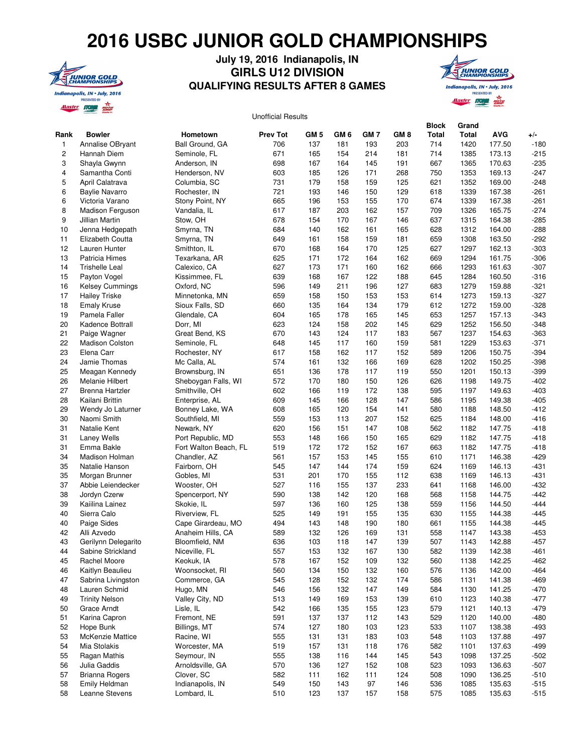## **2016 USBC JUNIOR GOLD CHAMPIONSHIPS**



## **July 19, 2016 Indianapolis, IN GIRLS U12 DIVISION QUALIFYING RESULTS AFTER 8 GAMES**



## **Rank Bowler Hometown Prev Tot GM 5 GM 6 GM 7 GM 8 Block Total Grand Total AVG +/-** 1 Annalise OBryant Ball Ground, GA 706 137 181 193 203 714 1420 177.50 -180 2 Hannah Diem Seminole, FL 671 165 154 214 181 714 1385 173.13 -215 3 Shayla Gwynn Anderson, IN 698 167 164 145 191 667 1365 170.63 -235 4 Samantha Conti Henderson, NV 603 185 126 171 268 750 1353 169.13 -247 5 April Calatrava Columbia, SC 731 179 158 159 125 621 1352 169.00 -248 6 Baylie Navarro Rochester, IN 721 193 146 150 129 618 1339 167.38 -261 6 Victoria Varano Stony Point, NY 665 196 153 155 170 674 1339 167.38 -261 8 Madison Ferguson Vandalia, IL 617 187 203 162 157 709 1326 165.75 -274 9 Jillian Martin Stow, OH 678 154 170 167 146 637 1315 164.38 -285 10 Jenna Hedgepath Smyrna, TN 684 140 162 161 165 628 1312 164.00 -288 11 Elizabeth Coutta Smyrna, TN 649 161 158 159 181 659 1308 163.50 -292 12 Lauren Hunter Smithton, IL 670 168 164 170 125 627 1297 162.13 -303 13 Patricia Himes Texarkana, AR 625 171 172 164 162 669 1294 161.75 -306 14 Trishelle Leal Calexico, CA 627 173 171 160 162 666 1293 161.63 -307 15 Payton Vogel Kissimmee, FL 639 168 167 122 188 645 1284 160.50 -316 16 Kelsey Cummings Oxford, NC 596 149 211 196 127 683 1279 159.88 -321 17 Hailey Triske Minnetonka, MN 659 158 150 153 153 614 1273 159.13 -327 18 Emaly Kruse Sioux Falls, SD 660 135 164 134 179 612 1272 159.00 -328 19 Pamela Faller Glendale, CA 604 165 178 165 145 653 1257 157.13 -343 20 Kadence Bottrall Dorr, MI 623 124 158 202 145 629 1252 156.50 -348 21 Paige Wagner Great Bend, KS 670 143 124 117 183 567 1237 154.63 -363 22 Madison Colston Seminole, FL 648 145 117 160 159 581 1229 153.63 -371 23 Elena Carr Rochester, NY 617 158 162 117 152 589 1206 150.75 -394 24 Jamie Thomas Mc Calla, AL 574 161 132 166 169 628 1202 150.25 -398 25 Meagan Kennedy Brownsburg, IN 651 136 178 117 119 550 1201 150.13 -399 26 Melanie Hilbert Sheboygan Falls, WI 572 170 180 150 126 626 1198 149.75 -402 27 Brenna Hartzler Smithville, OH 602 166 119 172 138 595 1197 149.63 -403 28 Kailani Brittin Enterprise, AL 609 145 166 128 147 586 1195 149.38 -405 29 Wendy Jo Laturner Bonney Lake, WA 608 165 120 154 141 580 1188 148.50 -412 30 Naomi Smith Southfield, MI 559 153 113 207 152 625 1184 148.00 -416 31 Natalie Kent Newark, NY 620 156 151 147 108 562 1182 147.75 -418 31 Laney Wells Port Republic, MD 553 148 166 150 165 629 1182 147.75 -418 31 Emma Bakle Fort Walton Beach, FL 519 172 172 152 167 663 1182 147.75 -418 34 Madison Holman Chandler, AZ 561 157 153 145 155 610 1171 146.38 -429 35 Natalie Hanson Fairborn, OH 545 147 144 174 159 624 1169 146.13 -431 35 Morgan Brunner Gobles, MI 531 201 170 155 112 638 1169 146.13 -431 37 Abbie Leiendecker Wooster, OH 527 116 155 137 233 641 1168 146.00 -432 38 Jordyn Czerw Spencerport, NY 590 138 142 120 168 568 1158 144.75 -442 39 Kaiilina Lainez Skokie, IL 597 136 160 125 138 559 1156 144.50 -444 40 Sierra Calo Riverview, FL 525 149 191 155 135 630 1155 144.38 -445 40 Paige Sides Cape Girardeau, MO 494 143 148 190 180 661 1155 144.38 -445 42 Alli Azvedo Anaheim Hills, CA 589 132 126 169 131 558 1147 143.38 -453 43 Gerilynn Delegarito Bloomfield, NM 636 103 118 147 139 507 1143 142.88 -457 44 Sabine Strickland Niceville, FL 557 153 132 167 130 582 1139 142.38 -461 45 Rachel Moore Keokuk, IA 578 167 152 109 132 560 1138 142.25 -462 46 Kaitlyn Beaulieu Woonsocket, RI 560 134 150 132 160 576 1136 142.00 -464 47 Sabrina Livingston Commerce, GA 545 128 152 132 174 586 1131 141.38 -469<br>48 Lauren Schmid Hugo, MN 546 156 132 147 149 584 1130 141.25 -470 48 Lauren Schmid Hugo, MN 546 156 132 147 149 584 1130 141.25 -470 49 Trinity Nelson Valley City, ND 513 149 169 153 139 610 1123 140.38 -477 50 Grace Arndt Lisle, IL 542 166 135 155 123 579 1121 140.13 -479 51 Karina Capron Fremont, NE 591 137 137 112 143 529 1120 140.00 -480 52 Hope Bunk Billings, MT 574 127 180 103 123 533 1107 138.38 -493 53 McKenzie Mattice Racine, WI 555 131 131 183 103 548 1103 137.88 -497 54 Mia Stolakis Worcester, MA 519 157 131 118 176 582 1101 137.63 -499 55 Ragan Mathis Seymour, IN 555 138 116 144 145 543 1098 137.25 -502 56 Julia Gaddis Arnoldsville, GA 570 136 127 152 108 523 1093 136.63 -507 57 Brianna Rogers Clover, SC 682 111 162 111 124 508 1090 136.25 -510 Unofficial Results

 58 Emily Heldman Indianapolis, IN 549 150 143 97 146 536 1085 135.63 -515 58 Leanne Stevens Lombard, IL 510 123 137 157 158 575 1085 135.63 -515